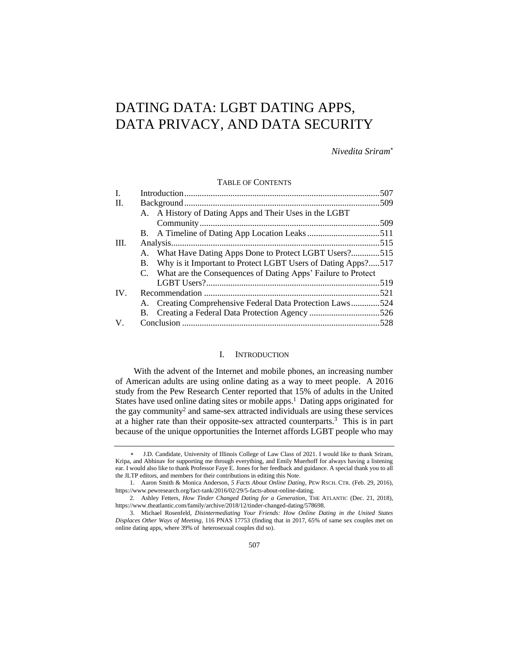# DATING DATA: LGBT DATING APPS, DATA PRIVACY, AND DATA SECURITY

*Nivedita Sriram*

TABLE OF CONTENTS

| Ι.   |  |                                                                 |  |
|------|--|-----------------------------------------------------------------|--|
| II.  |  |                                                                 |  |
|      |  | A. A History of Dating Apps and Their Uses in the LGBT          |  |
|      |  |                                                                 |  |
|      |  |                                                                 |  |
| III. |  |                                                                 |  |
|      |  | A. What Have Dating Apps Done to Protect LGBT Users?515         |  |
|      |  | B. Why is it Important to Protect LGBT Users of Dating Apps?517 |  |
|      |  | C. What are the Consequences of Dating Apps' Failure to Protect |  |
|      |  |                                                                 |  |
| IV.  |  |                                                                 |  |
|      |  | A. Creating Comprehensive Federal Data Protection Laws524       |  |
|      |  | B. Creating a Federal Data Protection Agency 526                |  |
| V.   |  |                                                                 |  |
|      |  |                                                                 |  |

# I. INTRODUCTION

With the advent of the Internet and mobile phones, an increasing number of American adults are using online dating as a way to meet people. A 2016 study from the Pew Research Center reported that 15% of adults in the United States have used online dating sites or mobile apps.<sup>1</sup> Dating apps originated for the gay community<sup>2</sup> and same-sex attracted individuals are using these services at a higher rate than their opposite-sex attracted counterparts.<sup>3</sup> This is in part because of the unique opportunities the Internet affords LGBT people who may

J.D. Candidate, University of Illinois College of Law Class of 2021. I would like to thank Sriram, Kripa, and Abhinav for supporting me through everything, and Emily Muerhoff for always having a listening ear. I would also like to thank Professor Faye E. Jones for her feedback and guidance. A special thank you to all the JLTP editors, and members for their contributions in editing this Note.

<sup>1.</sup> Aaron Smith & Monica Anderson, *5 Facts About Online Dating*, PEW RSCH. CTR. (Feb. 29, 2016), https://www.pewresearch.org/fact-tank/2016/02/29/5-facts-about-online-dating.

<sup>2.</sup> Ashley Fetters, *How Tinder Changed Dating for a Generation*, THE ATLANTIC (Dec. 21, 2018), https://www.theatlantic.com/family/archive/2018/12/tinder-changed-dating/578698.

<sup>3.</sup> Michael Rosenfeld, *Disintermediating Your Friends: How Online Dating in the United States Displaces Other Ways of Meeting*, 116 PNAS 17753 (finding that in 2017, 65% of same sex couples met on online dating apps, where 39% of heterosexual couples did so).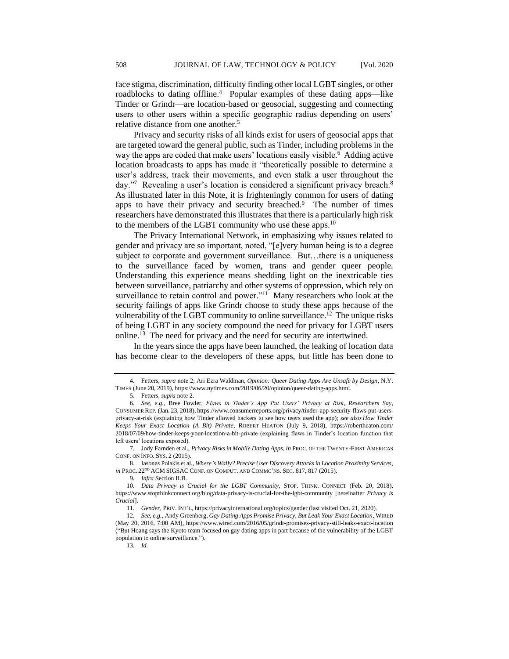face stigma, discrimination, difficulty finding other local LGBT singles, or other roadblocks to dating offline.<sup>4</sup> Popular examples of these dating apps—like Tinder or Grindr—are location-based or geosocial, suggesting and connecting users to other users within a specific geographic radius depending on users' relative distance from one another.<sup>5</sup>

Privacy and security risks of all kinds exist for users of geosocial apps that are targeted toward the general public, such as Tinder, including problems in the way the apps are coded that make users' locations easily visible.<sup>6</sup> Adding active location broadcasts to apps has made it "theoretically possible to determine a user's address, track their movements, and even stalk a user throughout the day."7 Revealing a user's location is considered a significant privacy breach.<sup>8</sup> As illustrated later in this Note, it is frighteningly common for users of dating apps to have their privacy and security breached.<sup>9</sup> The number of times researchers have demonstrated this illustrates that there is a particularly high risk to the members of the LGBT community who use these apps.<sup>10</sup>

The Privacy International Network, in emphasizing why issues related to gender and privacy are so important, noted, "[e]very human being is to a degree subject to corporate and government surveillance. But…there is a uniqueness to the surveillance faced by women, trans and gender queer people. Understanding this experience means shedding light on the inextricable ties between surveillance, patriarchy and other systems of oppression, which rely on surveillance to retain control and power."<sup>11</sup> Many researchers who look at the security failings of apps like Grindr choose to study these apps because of the vulnerability of the LGBT community to online surveillance.<sup>12</sup> The unique risks of being LGBT in any society compound the need for privacy for LGBT users online.<sup>13</sup> The need for privacy and the need for security are intertwined.

In the years since the apps have been launched, the leaking of location data has become clear to the developers of these apps, but little has been done to

<sup>4.</sup> Fetters, *supra* note 2; Ari Ezra Waldman, *Opinion: Queer Dating Apps Are Unsafe by Design*, N.Y. TIMES (June 20, 2019), https://www.nytimes.com/2019/06/20/opinion/queer-dating-apps.html.

<sup>5.</sup> Fetters, *supra* note 2.

<sup>6</sup>*. See, e.g.*, Bree Fowler, *Flaws in Tinder's App Put Users' Privacy at Risk*, *Researchers Say*, CONSUMER REP. (Jan. 23, 2018), https://www.consumerreports.org/privacy/tinder-app-security-flaws-put-usersprivacy-at-risk (explaining how Tinder allowed hackers to see how users used the app); *see also How Tinder Keeps Your Exact Location (A Bit) Private*, ROBERT HEATON (July 9, 2018), https://robertheaton.com/ 2018/07/09/how-tinder-keeps-your-location-a-bit-private (explaining flaws in Tinder's location function that left users' locations exposed).

<sup>7.</sup> Jody Farnden et al., *Privacy Risks in Mobile Dating Apps*, *in* PROC. OF THE TWENTY-FIRST AMERICAS CONF. ON INFO. SYS. 2 (2015).

<sup>8.</sup> Iasonas Polakis et al., *Where's Wally? Precise User Discovery Attacks in Location Proximity Services*, *in PROC.*  $22^{ND}$  ACM SIGSAC CONF. ON COMPUT. AND COMMC'NS. SEC. 817, 817 (2015).

<sup>9</sup>*. Infra* Section II.B.

<sup>10</sup>*. Data Privacy is Crucial for the LGBT Community,* STOP. THINK. CONNECT (Feb. 20, 2018), https://www.stopthinkconnect.org/blog/data-privacy-is-crucial-for-the-lgbt-community [hereinafter *Privacy is Crucial*].

<sup>11</sup>*. Gender*, PRIV. INT'L, https://privacyinternational.org/topics/gender (last visited Oct. 21, 2020).

<sup>12</sup>*. See, e.g.*, Andy Greenberg, *Gay Dating Apps Promise Privacy, But Leak Your Exact Location*, WIRED (May 20, 2016, 7:00 AM), https://www.wired.com/2016/05/grindr-promises-privacy-still-leaks-exact-location ("But Hoang says the Kyoto team focused on gay dating apps in part because of the vulnerability of the LGBT population to online surveillance.").

<sup>13</sup>*. Id.*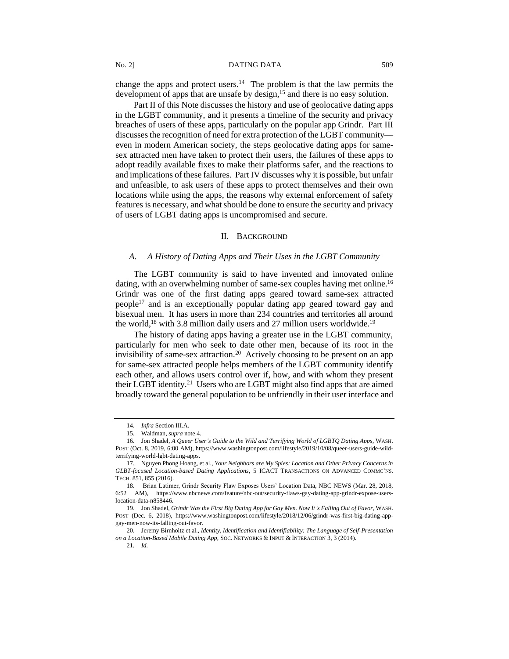change the apps and protect users. 14 The problem is that the law permits the development of apps that are unsafe by design,<sup>15</sup> and there is no easy solution.

Part II of this Note discusses the history and use of geolocative dating apps in the LGBT community, and it presents a timeline of the security and privacy breaches of users of these apps, particularly on the popular app Grindr. Part III discusses the recognition of need for extra protection of the LGBT community even in modern American society, the steps geolocative dating apps for samesex attracted men have taken to protect their users, the failures of these apps to adopt readily available fixes to make their platforms safer, and the reactions to and implications of these failures. Part IV discusses why it is possible, but unfair and unfeasible, to ask users of these apps to protect themselves and their own locations while using the apps, the reasons why external enforcement of safety features is necessary, and what should be done to ensure the security and privacy of users of LGBT dating apps is uncompromised and secure.

#### II. BACKGROUND

# *A. A History of Dating Apps and Their Uses in the LGBT Community*

The LGBT community is said to have invented and innovated online dating, with an overwhelming number of same-sex couples having met online.<sup>16</sup> Grindr was one of the first dating apps geared toward same-sex attracted people<sup>17</sup> and is an exceptionally popular dating app geared toward gay and bisexual men. It has users in more than 234 countries and territories all around the world,<sup>18</sup> with 3.8 million daily users and 27 million users worldwide.<sup>19</sup>

The history of dating apps having a greater use in the LGBT community, particularly for men who seek to date other men, because of its root in the invisibility of same-sex attraction.<sup>20</sup> Actively choosing to be present on an app for same-sex attracted people helps members of the LGBT community identify each other, and allows users control over if, how, and with whom they present their LGBT identity.<sup>21</sup> Users who are LGBT might also find apps that are aimed broadly toward the general population to be unfriendly in their user interface and

<sup>14.</sup> *Infra* Section III.A.

<sup>15.</sup> Waldman, *supra* note 4.

<sup>16.</sup> Jon Shadel, *A Queer User's Guide to the Wild and Terrifying World of LGBTQ Dating Apps*, WASH. POST (Oct. 8, 2019, 6:00 AM), https://www.washingtonpost.com/lifestyle/2019/10/08/queer-users-guide-wildterrifying-world-lgbt-dating-apps.

<sup>17.</sup> Nguyen Phong Hoang, et al., *Your Neighbors are My Spies: Location and Other Privacy Concerns in GLBT-focused Location-based Dating Applications,* 5 ICACT TRANSACTIONS ON ADVANCED COMMC'NS. TECH. 851, 855 (2016).

<sup>18.</sup> Brian Latimer, Grindr Security Flaw Exposes Users' Location Data, NBC NEWS (Mar. 28, 2018, 6:52 AM), https://www.nbcnews.com/feature/nbc-out/security-flaws-gay-dating-app-grindr-expose-userslocation-data-n858446.

<sup>19.</sup> Jon Shadel, *Grindr Was the First Big Dating App for Gay Men. Now It's Falling Out of Favor*, WASH. POST (Dec. 6, 2018), https://www.washingtonpost.com/lifestyle/2018/12/06/grindr-was-first-big-dating-appgay-men-now-its-falling-out-favor.

<sup>20.</sup> Jeremy Birnholtz et al., *Identity, Identification and Identifiability: The Language of Self-Presentation on a Location-Based Mobile Dating App*, SOC. NETWORKS & INPUT & INTERACTION 3, 3 (2014).

<sup>21</sup>*. Id.*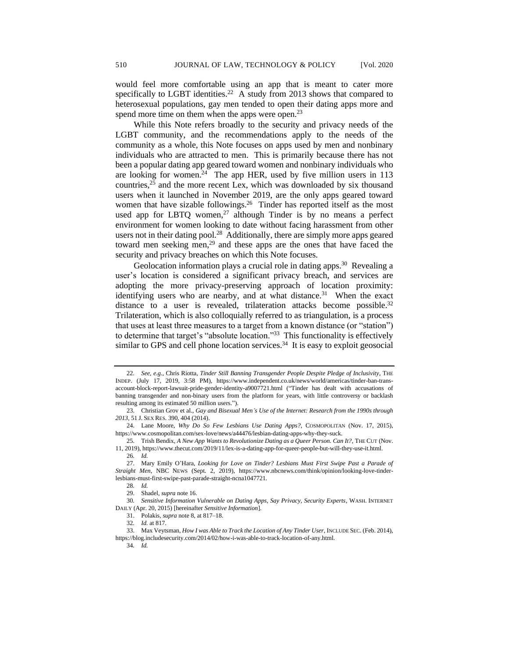would feel more comfortable using an app that is meant to cater more specifically to LGBT identities.<sup>22</sup> A study from 2013 shows that compared to heterosexual populations, gay men tended to open their dating apps more and spend more time on them when the apps were open.<sup>23</sup>

While this Note refers broadly to the security and privacy needs of the LGBT community, and the recommendations apply to the needs of the community as a whole, this Note focuses on apps used by men and nonbinary individuals who are attracted to men. This is primarily because there has not been a popular dating app geared toward women and nonbinary individuals who are looking for women.<sup>24</sup> The app HER, used by five million users in  $113$ countries,<sup>25</sup> and the more recent Lex, which was downloaded by six thousand users when it launched in November 2019, are the only apps geared toward women that have sizable followings.<sup>26</sup> Tinder has reported itself as the most used app for LBTQ women, $27$  although Tinder is by no means a perfect environment for women looking to date without facing harassment from other users not in their dating pool.<sup>28</sup> Additionally, there are simply more apps geared toward men seeking men, $^{29}$  and these apps are the ones that have faced the security and privacy breaches on which this Note focuses.

Geolocation information plays a crucial role in dating apps.<sup>30</sup> Revealing a user's location is considered a significant privacy breach, and services are adopting the more privacy-preserving approach of location proximity: identifying users who are nearby, and at what distance.<sup>31</sup> When the exact distance to a user is revealed, trilateration attacks become possible.<sup>32</sup> Trilateration, which is also colloquially referred to as triangulation, is a process that uses at least three measures to a target from a known distance (or "station") to determine that target's "absolute location."<sup>33</sup> This functionality is effectively similar to GPS and cell phone location services. $34$  It is easy to exploit geosocial

28*. Id.*

33. Max Veytsman, *How I was Able to Track the Location of Any Tinder User,* INCLUDE SEC. (Feb. 2014), https://blog.includesecurity.com/2014/02/how-i-was-able-to-track-location-of-any.html.

<sup>22</sup>*. See, e.g.*, Chris Riotta, *Tinder Still Banning Transgender People Despite Pledge of Inclusivity*, THE INDEP. (July 17, 2019, 3:58 PM), https://www.independent.co.uk/news/world/americas/tinder-ban-transaccount-block-report-lawsuit-pride-gender-identity-a9007721.html ("Tinder has dealt with accusations of banning transgender and non-binary users from the platform for years, with little controversy or backlash resulting among its estimated 50 million users.").

<sup>23.</sup> Christian Grov et al., *Gay and Bisexual Men's Use of the Internet: Research from the 1990s through 2013,* 51 J. SEX RES. 390, 404 (2014).

<sup>24.</sup> Lane Moore, *Why Do So Few Lesbians Use Dating Apps?*, COSMOPOLITAN (Nov. 17, 2015), https://www.cosmopolitan.com/sex-love/news/a44476/lesbian-dating-apps-why-they-suck.

<sup>25.</sup> Trish Bendix, *A New App Wants to Revolutionize Dating as a Queer Person. Can It?*, THE CUT (Nov. 11, 2019), https://www.thecut.com/2019/11/lex-is-a-dating-app-for-queer-people-but-will-they-use-it.html.

<sup>26</sup>*. Id.*

<sup>27.</sup> Mary Emily O'Hara, *Looking for Love on Tinder? Lesbians Must First Swipe Past a Parade of Straight Men*, NBC NEWS (Sept. 2, 2019), https://www.nbcnews.com/think/opinion/looking-love-tinderlesbians-must-first-swipe-past-parade-straight-ncna1047721.

<sup>29.</sup> Shadel, *supra* note 16.

<sup>30</sup>*. Sensitive Information Vulnerable on Dating Apps, Say Privacy, Security Experts*, WASH. INTERNET DAILY (Apr. 20, 2015) [hereinafter *Sensitive Information*].

<sup>31.</sup> Polakis, *supra* note 8, at 817–18.

<sup>32</sup>*. Id.* at 817.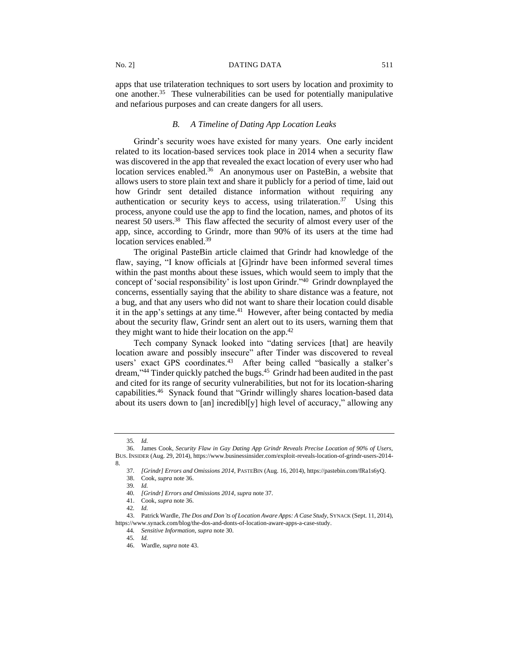apps that use trilateration techniques to sort users by location and proximity to one another.<sup>35</sup> These vulnerabilities can be used for potentially manipulative and nefarious purposes and can create dangers for all users.

## *B. A Timeline of Dating App Location Leaks*

Grindr's security woes have existed for many years. One early incident related to its location-based services took place in 2014 when a security flaw was discovered in the app that revealed the exact location of every user who had location services enabled.<sup>36</sup> An anonymous user on PasteBin, a website that allows users to store plain text and share it publicly for a period of time, laid out how Grindr sent detailed distance information without requiring any authentication or security keys to access, using trilateration.<sup>37</sup> Using this process, anyone could use the app to find the location, names, and photos of its nearest 50 users.<sup>38</sup> This flaw affected the security of almost every user of the app, since, according to Grindr, more than 90% of its users at the time had location services enabled.<sup>39</sup>

The original PasteBin article claimed that Grindr had knowledge of the flaw, saying, "I know officials at [G]rindr have been informed several times within the past months about these issues, which would seem to imply that the concept of 'social responsibility' is lost upon Grindr."<sup>40</sup> Grindr downplayed the concerns, essentially saying that the ability to share distance was a feature, not a bug, and that any users who did not want to share their location could disable it in the app's settings at any time. $41$  However, after being contacted by media about the security flaw, Grindr sent an alert out to its users, warning them that they might want to hide their location on the app. $42$ 

Tech company Synack looked into "dating services [that] are heavily location aware and possibly insecure" after Tinder was discovered to reveal users' exact GPS coordinates.<sup>43</sup> After being called "basically a stalker's dream,"<sup>44</sup> Tinder quickly patched the bugs.<sup>45</sup> Grindr had been audited in the past and cited for its range of security vulnerabilities, but not for its location-sharing capabilities.<sup>46</sup> Synack found that "Grindr willingly shares location-based data about its users down to [an] incredibl[y] high level of accuracy," allowing any

<sup>35</sup>*. Id.*

<sup>36.</sup> James Cook, *Security Flaw in Gay Dating App Grindr Reveals Precise Location of 90% of Users,*  BUS. INSIDER (Aug. 29, 2014), https://www.businessinsider.com/exploit-reveals-location-of-grindr-users-2014- 8.

<sup>37</sup>*. [Grindr] Errors and Omissions 2014*, PASTEBIN (Aug. 16, 2014), https://pastebin.com/fRa1s6yQ.

<sup>38.</sup> Cook, *supra* note 36.

<sup>39</sup>*. Id.*

<sup>40</sup>*. [Grindr] Errors and Omissions 2014*, *supra* note 37.

<sup>41.</sup> Cook, *supra* note 36.

<sup>42</sup>*. Id.*

<sup>43.</sup> Patrick Wardle, *The Dos and Don'ts of Location Aware Apps: A Case Study*, SYNACK (Sept. 11, 2014), https://www.synack.com/blog/the-dos-and-donts-of-location-aware-apps-a-case-study.

<sup>44</sup>*. Sensitive Information*, *supra* note 30.

<sup>45</sup>*. Id.*

<sup>46.</sup> Wardle, *supra* note 43.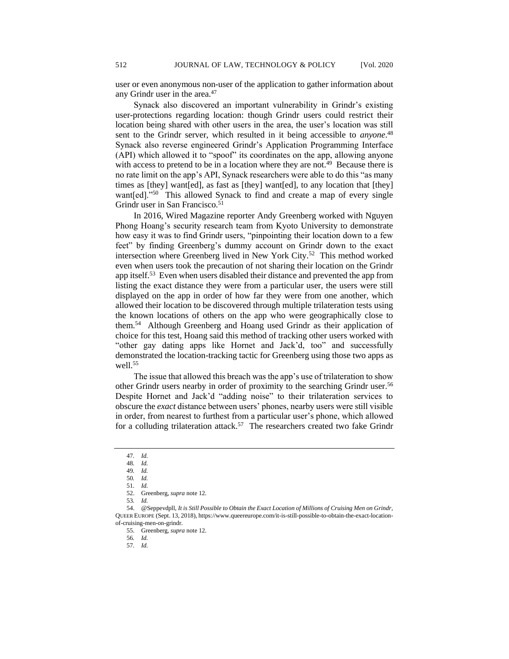user or even anonymous non-user of the application to gather information about any Grindr user in the area.<sup>47</sup>

Synack also discovered an important vulnerability in Grindr's existing user-protections regarding location: though Grindr users could restrict their location being shared with other users in the area, the user's location was still sent to the Grindr server, which resulted in it being accessible to *anyone*. 48 Synack also reverse engineered Grindr's Application Programming Interface (API) which allowed it to "spoof" its coordinates on the app, allowing anyone with access to pretend to be in a location where they are not.<sup>49</sup> Because there is no rate limit on the app's API, Synack researchers were able to do this "as many times as [they] want[ed], as fast as [they] want[ed], to any location that [they] want[ed]."<sup>50</sup> This allowed Synack to find and create a map of every single Grindr user in San Francisco.<sup>51</sup>

In 2016, Wired Magazine reporter Andy Greenberg worked with Nguyen Phong Hoang's security research team from Kyoto University to demonstrate how easy it was to find Grindr users, "pinpointing their location down to a few feet" by finding Greenberg's dummy account on Grindr down to the exact intersection where Greenberg lived in New York City.<sup>52</sup> This method worked even when users took the precaution of not sharing their location on the Grindr app itself.<sup>53</sup> Even when users disabled their distance and prevented the app from listing the exact distance they were from a particular user, the users were still displayed on the app in order of how far they were from one another, which allowed their location to be discovered through multiple trilateration tests using the known locations of others on the app who were geographically close to them.<sup>54</sup> Although Greenberg and Hoang used Grindr as their application of choice for this test, Hoang said this method of tracking other users worked with "other gay dating apps like Hornet and Jack'd, too" and successfully demonstrated the location-tracking tactic for Greenberg using those two apps as well.<sup>55</sup>

The issue that allowed this breach was the app's use of trilateration to show other Grindr users nearby in order of proximity to the searching Grindr user.<sup>56</sup> Despite Hornet and Jack'd "adding noise" to their trilateration services to obscure the *exact* distance between users' phones, nearby users were still visible in order, from nearest to furthest from a particular user's phone, which allowed for a colluding trilateration attack.<sup>57</sup> The researchers created two fake Grindr

<sup>47</sup>*. Id.*

<sup>48</sup>*. Id.*

<sup>49</sup>*. Id.*

<sup>50</sup>*. Id.* 51*. Id.*

<sup>52.</sup> Greenberg, *supra* note 12. 53*. Id.*

<sup>54.</sup> @Seppevdpll, *It is Still Possible to Obtain the Exact Location of Millions of Cruising Men on Grindr*, QUEER EUROPE (Sept. 13, 2018), https://www.queereurope.com/it-is-still-possible-to-obtain-the-exact-locationof-cruising-men-on-grindr.

<sup>55.</sup> Greenberg, *supra* note 12.

<sup>56</sup>*. Id.*

<sup>57</sup>*. Id.*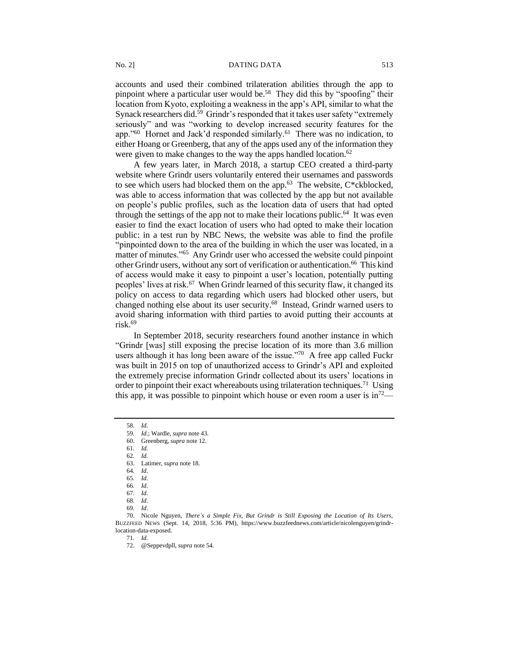accounts and used their combined trilateration abilities through the app to pinpoint where a particular user would be.<sup>58</sup> They did this by "spoofing" their location from Kyoto, exploiting a weakness in the app's API, similar to what the Synack researchers did.<sup>59</sup> Grindr's responded that it takes user safety "extremely seriously" and was "working to develop increased security features for the app."<sup>60</sup> Hornet and Jack'd responded similarly.<sup>61</sup> There was no indication, to either Hoang or Greenberg, that any of the apps used any of the information they were given to make changes to the way the apps handled location.<sup>62</sup>

A few years later, in March 2018, a startup CEO created a third-party website where Grindr users voluntarily entered their usernames and passwords to see which users had blocked them on the app. $63$  The website, C\*ckblocked, was able to access information that was collected by the app but not available on people's public profiles, such as the location data of users that had opted through the settings of the app not to make their locations public.<sup>64</sup> It was even easier to find the exact location of users who had opted to make their location public: in a test run by NBC News, the website was able to find the profile "pinpointed down to the area of the building in which the user was located, in a matter of minutes."<sup>65</sup> Any Grindr user who accessed the website could pinpoint other Grindr users, without any sort of verification or authentication.<sup>66</sup> This kind of access would make it easy to pinpoint a user's location, potentially putting peoples' lives at risk.<sup>67</sup> When Grindr learned of this security flaw, it changed its policy on access to data regarding which users had blocked other users, but changed nothing else about its user security.<sup>68</sup> Instead, Grindr warned users to avoid sharing information with third parties to avoid putting their accounts at risk.<sup>69</sup>

In September 2018, security researchers found another instance in which "Grindr [was] still exposing the precise location of its more than 3.6 million users although it has long been aware of the issue."<sup>70</sup> A free app called Fuckr was built in 2015 on top of unauthorized access to Grindr's API and exploited the extremely precise information Grindr collected about its users' locations in order to pinpoint their exact whereabouts using trilateration techniques.<sup>71</sup> Using this app, it was possible to pinpoint which house or even room a user is  $in^{72}$ —

71*. Id.*

<sup>58</sup>*. Id.*

<sup>59</sup>*. Id.*; Wardle, *supra* note 43.

<sup>60.</sup> Greenberg, *supra* note 12.

<sup>61</sup>*. Id.*

<sup>62</sup>*. Id.*

<sup>63.</sup> Latimer, *supra* note 18.

<sup>64</sup>*. Id*.

<sup>65</sup>*. Id*. 66*. Id*.

<sup>67</sup>*. Id*.

<sup>68</sup>*. Id*.

<sup>69</sup>*. Id*.

<sup>70.</sup> Nicole Nguyen, *There's a Simple Fix, But Grindr is Still Exposing the Location of Its Users,* BUZZFEED NEWS (Sept. 14, 2018, 5:36 PM), https://www.buzzfeednews.com/article/nicolenguyen/grindrlocation-data-exposed.

<sup>72.</sup> @Seppevdpll, *supra* note 54.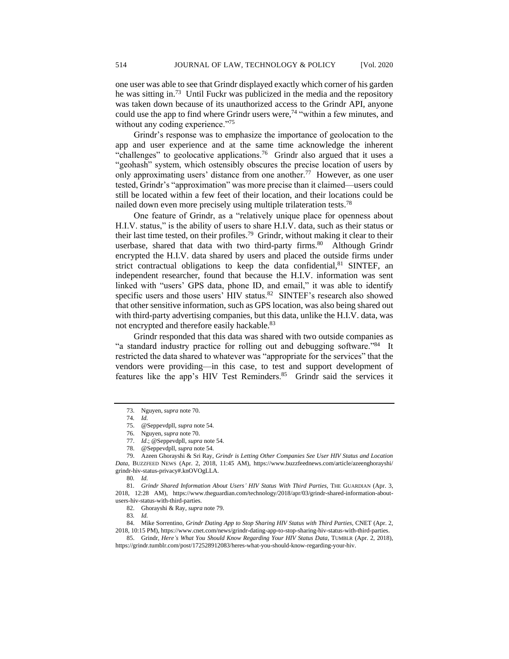one user was able to see that Grindr displayed exactly which corner of his garden he was sitting in.<sup>73</sup> Until Fuckr was publicized in the media and the repository was taken down because of its unauthorized access to the Grindr API, anyone could use the app to find where Grindr users were,<sup>74</sup> "within a few minutes, and without any coding experience."<sup>75</sup>

Grindr's response was to emphasize the importance of geolocation to the app and user experience and at the same time acknowledge the inherent "challenges" to geolocative applications.<sup>76</sup> Grindr also argued that it uses a "geohash" system, which ostensibly obscures the precise location of users by only approximating users' distance from one another.<sup>77</sup> However, as one user tested, Grindr's "approximation" was more precise than it claimed—users could still be located within a few feet of their location, and their locations could be nailed down even more precisely using multiple trilateration tests.<sup>78</sup>

One feature of Grindr, as a "relatively unique place for openness about H.I.V. status," is the ability of users to share H.I.V. data, such as their status or their last time tested, on their profiles.<sup>79</sup> Grindr, without making it clear to their userbase, shared that data with two third-party firms.<sup>80</sup> Although Grindr encrypted the H.I.V. data shared by users and placed the outside firms under strict contractual obligations to keep the data confidential,  $81$  SINTEF, an independent researcher, found that because the H.I.V. information was sent linked with "users' GPS data, phone ID, and email," it was able to identify specific users and those users' HIV status.<sup>82</sup> SINTEF's research also showed that other sensitive information, such as GPS location, was also being shared out with third-party advertising companies, but this data, unlike the H.I.V. data, was not encrypted and therefore easily hackable.<sup>83</sup>

Grindr responded that this data was shared with two outside companies as "a standard industry practice for rolling out and debugging software."<sup>84</sup> It restricted the data shared to whatever was "appropriate for the services" that the vendors were providing—in this case, to test and support development of features like the app's HIV Test Reminders.<sup>85</sup> Grindr said the services it

<sup>73.</sup> Nguyen, *supra* note 70.

<sup>74</sup>*. Id.*

<sup>75.</sup> @Seppevdpll, *supra* note 54.

<sup>76.</sup> Nguyen, *supra* note 70.

<sup>77.</sup> *Id*.; @Seppevdpll, *supra* note 54.

<sup>78.</sup> @Seppevdpll, *supra* note 54.

<sup>79.</sup> Azeen Ghorayshi & Sri Ray, *Grindr is Letting Other Companies See User HIV Status and Location Data*, BUZZFEED NEWS (Apr. 2, 2018, 11:45 AM), https://www.buzzfeednews.com/article/azeenghorayshi/ grindr-hiv-status-privacy#.knOVOgLLA.

<sup>80</sup>*. Id.*

<sup>81</sup>*. Grindr Shared Information About Users' HIV Status With Third Parties,* THE GUARDIAN (Apr. 3, 2018, 12:28 AM), https://www.theguardian.com/technology/2018/apr/03/grindr-shared-information-aboutusers-hiv-status-with-third-parties.

<sup>82.</sup> Ghorayshi & Ray, *supra* note 79.

<sup>83</sup>*. Id.*

<sup>84.</sup> Mike Sorrentino, *Grindr Dating App to Stop Sharing HIV Status with Third Parties,* CNET (Apr. 2, 2018, 10:15 PM), https://www.cnet.com/news/grindr-dating-app-to-stop-sharing-hiv-status-with-third-parties.

<sup>85.</sup> Grindr, *Here's What You Should Know Regarding Your HIV Status Data,* TUMBLR (Apr. 2, 2018), https://grindr.tumblr.com/post/172528912083/heres-what-you-should-know-regarding-your-hiv.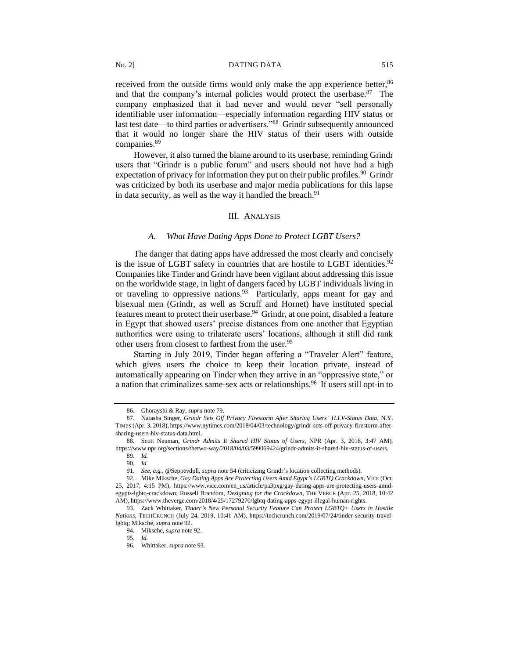received from the outside firms would only make the app experience better,<sup>86</sup> and that the company's internal policies would protect the userbase.<sup>87</sup> The company emphasized that it had never and would never "sell personally identifiable user information—especially information regarding HIV status or last test date—to third parties or advertisers."<sup>88</sup> Grindr subsequently announced that it would no longer share the HIV status of their users with outside companies.<sup>89</sup>

However, it also turned the blame around to its userbase, reminding Grindr users that "Grindr is a public forum" and users should not have had a high expectation of privacy for information they put on their public profiles.<sup>90</sup> Grindr was criticized by both its userbase and major media publications for this lapse in data security, as well as the way it handled the breach. $91$ 

# III. ANALYSIS

#### *A. What Have Dating Apps Done to Protect LGBT Users?*

The danger that dating apps have addressed the most clearly and concisely is the issue of LGBT safety in countries that are hostile to LGBT identities.<sup>92</sup> Companies like Tinder and Grindr have been vigilant about addressing this issue on the worldwide stage, in light of dangers faced by LGBT individuals living in or traveling to oppressive nations.  $93$  Particularly, apps meant for gay and bisexual men (Grindr, as well as Scruff and Hornet) have instituted special features meant to protect their userbase.<sup>94</sup> Grindr, at one point, disabled a feature in Egypt that showed users' precise distances from one another that Egyptian authorities were using to trilaterate users' locations, although it still did rank other users from closest to farthest from the user.<sup>95</sup>

Starting in July 2019, Tinder began offering a "Traveler Alert" feature, which gives users the choice to keep their location private, instead of automatically appearing on Tinder when they arrive in an "oppressive state," or a nation that criminalizes same-sex acts or relationships.<sup>96</sup> If users still opt-in to

95*. Id.*

<sup>86.</sup> Ghorayshi & Ray, *supra* note 79.

<sup>87.</sup> Natasha Singer, *Grindr Sets Off Privacy Firestorm After Sharing Users' H.I.V-Status Data*, N.Y. TIMES (Apr. 3, 2018), https://www.nytimes.com/2018/04/03/technology/grindr-sets-off-privacy-firestorm-aftersharing-users-hiv-status-data.html.

<sup>88.</sup> Scott Neuman, *Grindr Admits It Shared HIV Status of Users,* NPR (Apr. 3, 2018, 3:47 AM), https://www.npr.org/sections/thetwo-way/2018/04/03/599069424/grindr-admits-it-shared-hiv-status-of-users.

<sup>89</sup>*. Id.* 90*. Id.*

<sup>91</sup>*. See, e.g.*, *@*Seppevdpll, *supra* note 54 (criticizing Grindr's location collecting methods).

<sup>92.</sup> Mike Miksche, *Gay Dating Apps Are Protecting Users Amid Egypt's LGBTQ Crackdown*, VICE (Oct. 25, 2017, 4:15 PM), https://www.vice.com/en\_us/article/pa3pxg/gay-dating-apps-are-protecting-users-amidegypts-lgbtq-crackdown; Russell Brandom, *Designing for the Crackdown*, THE VERGE (Apr. 25, 2018, 10:42 AM), https://www.theverge.com/2018/4/25/17279270/lgbtq-dating-apps-egypt-illegal-human-rights.

<sup>93.</sup> Zack Whittaker, *Tinder's New Personal Security Feature Can Protect LGBTQ+ Users in Hostile Nations*, TECHCRUNCH (July 24, 2019, 10:41 AM), https://techcrunch.com/2019/07/24/tinder-security-travellgbtq; Miksche, *supra* note 92.

<sup>94.</sup> Miksche, *supra* note 92.

<sup>96.</sup> Whittaker, *supra* note 93.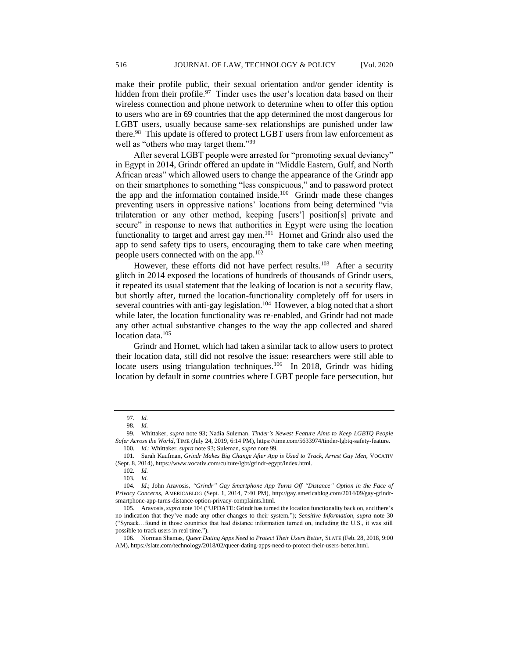make their profile public, their sexual orientation and/or gender identity is hidden from their profile.<sup>97</sup> Tinder uses the user's location data based on their wireless connection and phone network to determine when to offer this option to users who are in 69 countries that the app determined the most dangerous for LGBT users, usually because same-sex relationships are punished under law there.<sup>98</sup> This update is offered to protect LGBT users from law enforcement as well as "others who may target them."<sup>99</sup>

After several LGBT people were arrested for "promoting sexual deviancy" in Egypt in 2014, Grindr offered an update in "Middle Eastern, Gulf, and North African areas" which allowed users to change the appearance of the Grindr app on their smartphones to something "less conspicuous," and to password protect the app and the information contained inside. $100$  Grindr made these changes preventing users in oppressive nations' locations from being determined "via trilateration or any other method, keeping [users'] position[s] private and secure" in response to news that authorities in Egypt were using the location functionality to target and arrest gay men.<sup>101</sup> Hornet and Grindr also used the app to send safety tips to users, encouraging them to take care when meeting people users connected with on the app.<sup>102</sup>

However, these efforts did not have perfect results.<sup>103</sup> After a security glitch in 2014 exposed the locations of hundreds of thousands of Grindr users, it repeated its usual statement that the leaking of location is not a security flaw, but shortly after, turned the location-functionality completely off for users in several countries with anti-gay legislation.<sup>104</sup> However, a blog noted that a short while later, the location functionality was re-enabled, and Grindr had not made any other actual substantive changes to the way the app collected and shared location data.<sup>105</sup>

Grindr and Hornet, which had taken a similar tack to allow users to protect their location data, still did not resolve the issue: researchers were still able to locate users using triangulation techniques.<sup>106</sup> In 2018, Grindr was hiding location by default in some countries where LGBT people face persecution, but

<sup>97</sup>*. Id.*

<sup>98</sup>*. Id.*

<sup>99.</sup> Whittaker, *supra* note 93; Nadia Suleman, *Tinder's Newest Feature Aims to Keep LGBTQ People Safer Across the World*, TIME (July 24, 2019, 6:14 PM), https://time.com/5633974/tinder-lgbtq-safety-feature.

<sup>100</sup>*. Id.*; Whittaker, *supra* note 93; Suleman, *supra* note 99.

<sup>101.</sup> Sarah Kaufman, *Grindr Makes Big Change After App is Used to Track, Arrest Gay Men,* VOCATIV (Sept. 8, 2014), https://www.vocativ.com/culture/lgbt/grindr-egypt/index.html.

<sup>102</sup>*. Id.*

<sup>103</sup>*. Id.*

<sup>104.</sup> *Id*.; John Aravosis, *"Grindr" Gay Smartphone App Turns Off "Distance" Option in the Face of Privacy Concerns*, AMERICABLOG (Sept. 1, 2014, 7:40 PM), http://gay.americablog.com/2014/09/gay-grindrsmartphone-app-turns-distance-option-privacy-complaints.html.

<sup>105</sup>*.* Aravosis, *supra* note 104 ("UPDATE: Grindr has turned the location functionality back on, and there's no indication that they've made any other changes to their system."); *Sensitive Information, supra* note 30 ("Synack…found in those countries that had distance information turned on, including the U.S., it was still possible to track users in real time.").

<sup>106.</sup> Norman Shamas, *Queer Dating Apps Need to Protect Their Users Better,* SLATE (Feb. 28, 2018, 9:00 AM), https://slate.com/technology/2018/02/queer-dating-apps-need-to-protect-their-users-better.html.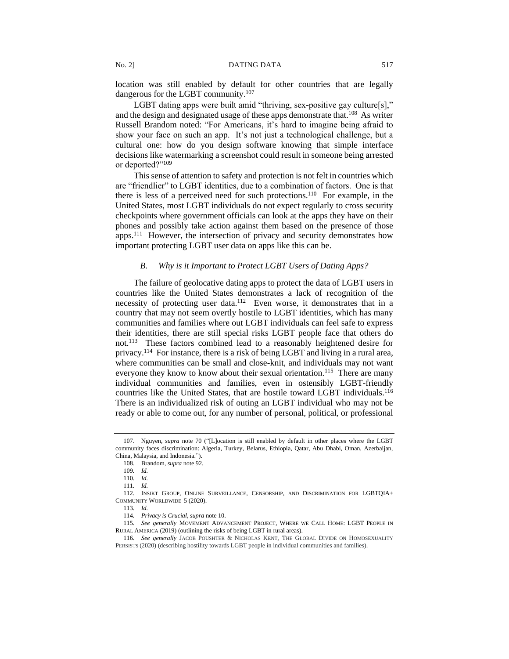location was still enabled by default for other countries that are legally dangerous for the LGBT community.<sup>107</sup>

LGBT dating apps were built amid "thriving, sex-positive gay culture[s]," and the design and designated usage of these apps demonstrate that.<sup>108</sup> As writer Russell Brandom noted: "For Americans, it's hard to imagine being afraid to show your face on such an app. It's not just a technological challenge, but a cultural one: how do you design software knowing that simple interface decisions like watermarking a screenshot could result in someone being arrested or deported?"<sup>109</sup>

This sense of attention to safety and protection is not felt in countries which are "friendlier" to LGBT identities, due to a combination of factors. One is that there is less of a perceived need for such protections.<sup>110</sup> For example, in the United States, most LGBT individuals do not expect regularly to cross security checkpoints where government officials can look at the apps they have on their phones and possibly take action against them based on the presence of those apps.<sup>111</sup> However, the intersection of privacy and security demonstrates how important protecting LGBT user data on apps like this can be.

# *B. Why is it Important to Protect LGBT Users of Dating Apps?*

The failure of geolocative dating apps to protect the data of LGBT users in countries like the United States demonstrates a lack of recognition of the necessity of protecting user data.<sup>112</sup> Even worse, it demonstrates that in a country that may not seem overtly hostile to LGBT identities, which has many communities and families where out LGBT individuals can feel safe to express their identities, there are still special risks LGBT people face that others do not.<sup>113</sup> These factors combined lead to a reasonably heightened desire for privacy.<sup>114</sup> For instance, there is a risk of being LGBT and living in a rural area, where communities can be small and close-knit, and individuals may not want everyone they know to know about their sexual orientation.<sup>115</sup> There are many individual communities and families, even in ostensibly LGBT-friendly countries like the United States, that are hostile toward LGBT individuals.<sup>116</sup> There is an individualized risk of outing an LGBT individual who may not be ready or able to come out, for any number of personal, political, or professional

<sup>107.</sup> Nguyen, *supra* note 70 ("[L]ocation is still enabled by default in other places where the LGBT community faces discrimination: Algeria, Turkey, Belarus, Ethiopia, Qatar, Abu Dhabi, Oman, Azerbaijan, China, Malaysia, and Indonesia.").

<sup>108.</sup> Brandom, *supra* note 92.

<sup>109</sup>*. Id.*

<sup>110</sup>*. Id.*

<sup>111</sup>*. Id.*

<sup>112</sup>*.* INSIKT GROUP, ONLINE SURVEILLANCE, CENSORSHIP, AND DISCRIMINATION FOR LGBTQIA+ COMMUNITY WORLDWIDE 5 (2020).

<sup>113</sup>*. Id.*

<sup>114</sup>*. Privacy is Crucial, supra* note 10.

<sup>115</sup>*. See generally* MOVEMENT ADVANCEMENT PROJECT, WHERE WE CALL HOME: LGBT PEOPLE IN RURAL AMERICA (2019) (outlining the risks of being LGBT in rural areas).

<sup>116</sup>*. See generally* JACOB POUSHTER & NICHOLAS KENT, THE GLOBAL DIVIDE ON HOMOSEXUALITY PERSISTS (2020) (describing hostility towards LGBT people in individual communities and families).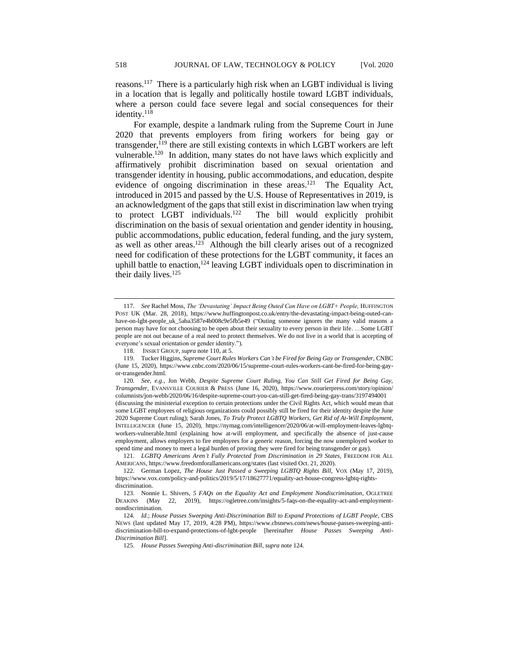reasons.<sup>117</sup> There is a particularly high risk when an LGBT individual is living in a location that is legally and politically hostile toward LGBT individuals, where a person could face severe legal and social consequences for their identity.<sup>118</sup>

For example, despite a landmark ruling from the Supreme Court in June 2020 that prevents employers from firing workers for being gay or transgender, $^{119}$  there are still existing contexts in which LGBT workers are left vulnerable.<sup>120</sup> In addition, many states do not have laws which explicitly and affirmatively prohibit discrimination based on sexual orientation and transgender identity in housing, public accommodations, and education, despite evidence of ongoing discrimination in these areas.<sup>121</sup> The Equality Act, introduced in 2015 and passed by the U.S. House of Representatives in 2019, is an acknowledgment of the gaps that still exist in discrimination law when trying to protect LGBT individuals.<sup>122</sup> The bill would explicitly prohibit discrimination on the basis of sexual orientation and gender identity in housing, public accommodations, public education, federal funding, and the jury system, as well as other areas.<sup>123</sup> Although the bill clearly arises out of a recognized need for codification of these protections for the LGBT community, it faces an uphill battle to enaction,<sup>124</sup> leaving LGBT individuals open to discrimination in their daily lives.<sup>125</sup>

<sup>117.</sup> *See* Rachel Moss, *The 'Devastating' Impact Being Outed Can Have on LGBT+ People,* HUFFINGTON POST UK (Mar. 28, 2018), https://www.huffingtonpost.co.uk/entry/the-devastating-impact-being-outed-canhave-on-lgbt-people\_uk\_5aba3587e4b008c9e5fb5e49 ("Outing someone ignores the many valid reasons a person may have for not choosing to be open about their sexuality to every person in their life. …Some LGBT people are not out because of a real need to protect themselves. We do not live in a world that is accepting of everyone's sexual orientation or gender identity.").

<sup>118</sup>*.* INSIKT GROUP, *supra* note 110, at 5.

<sup>119.</sup> Tucker Higgins, *Supreme Court Rules Workers Can't be Fired for Being Gay or Transgender,* CNBC (June 15, 2020), https://www.cnbc.com/2020/06/15/supreme-court-rules-workers-cant-be-fired-for-being-gayor-transgender.html.

<sup>120</sup>*. See*, *e.g.*, Jon Webb, *Despite Supreme Court Ruling, You Can Still Get Fired for Being Gay, Transgender*, EVANSVILLE COURIER & PRESS (June 16, 2020), https://www.courierpress.com/story/opinion/ columnists/jon-webb/2020/06/16/despite-supreme-court-you-can-still-get-fired-being-gay-trans/3197494001 (discussing the ministerial exception to certain protections under the Civil Rights Act, which would mean that some LGBT employees of religious organizations could possibly still be fired for their identity despite the June 2020 Supreme Court ruling); Sarah Jones, *To Truly Protect LGBTQ Workers, Get Rid of At-Will Employment*, INTELLIGENCER (June 15, 2020), https://nymag.com/intelligencer/2020/06/at-will-employment-leaves-lgbtqworkers-vulnerable.html (explaining how at-will employment, and specifically the absence of just-cause employment, allows employers to fire employees for a generic reason, forcing the now unemployed worker to spend time and money to meet a legal burden of proving they were fired for being transgender or gay).

<sup>121</sup>*. LGBTQ Americans Aren't Fully Protected from Discrimination in 29 States,* FREEDOM FOR ALL AMERICANS, https://www.freedomforallamericans.org/states (last visited Oct. 21, 2020).

<sup>122.</sup> German Lopez, *The House Just Passed a Sweeping LGBTQ Rights Bill,* VOX (May 17, 2019), https://www.vox.com/policy-and-politics/2019/5/17/18627771/equality-act-house-congress-lgbtq-rightsdiscrimination.

<sup>123.</sup> Nonnie L. Shivers, *5 FAQs on the Equality Act and Employment Nondiscrimination*, OGLETREE DEAKINS (May 22, 2019), https://ogletree.com/insights/5-faqs-on-the-equality-act-and-employmentnondiscrimination.

<sup>124</sup>*. Id*.; *House Passes Sweeping Anti-Discrimination Bill to Expand Protections of LGBT People*, CBS NEWS (last updated May 17, 2019, 4:28 PM), https://www.cbsnews.com/news/house-passes-sweeping-antidiscrimination-bill-to-expand-protections-of-lgbt-people [hereinafter *House Passes Sweeping Anti-Discrimination Bill*].

<sup>125</sup>*. House Passes Sweeping Anti-discrimination Bill*, *supra* note 124.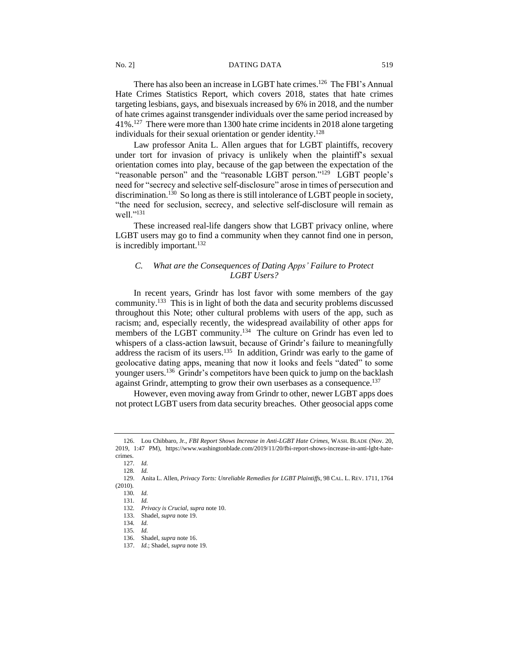There has also been an increase in LGBT hate crimes.<sup>126</sup> The FBI's Annual Hate Crimes Statistics Report, which covers 2018, states that hate crimes targeting lesbians, gays, and bisexuals increased by 6% in 2018, and the number of hate crimes against transgender individuals over the same period increased by 41%.<sup>127</sup> There were more than 1300 hate crime incidents in 2018 alone targeting individuals for their sexual orientation or gender identity.<sup>128</sup>

Law professor Anita L. Allen argues that for LGBT plaintiffs, recovery under tort for invasion of privacy is unlikely when the plaintiff's sexual orientation comes into play, because of the gap between the expectation of the "reasonable person" and the "reasonable LGBT person."<sup>129</sup> LGBT people's need for "secrecy and selective self-disclosure" arose in times of persecution and discrimination.<sup>130</sup> So long as there is still intolerance of LGBT people in society, "the need for seclusion, secrecy, and selective self-disclosure will remain as well."<sup>131</sup>

These increased real-life dangers show that LGBT privacy online, where LGBT users may go to find a community when they cannot find one in person, is incredibly important.<sup>132</sup>

# *C. What are the Consequences of Dating Apps' Failure to Protect LGBT Users?*

In recent years, Grindr has lost favor with some members of the gay community.<sup>133</sup> This is in light of both the data and security problems discussed throughout this Note; other cultural problems with users of the app, such as racism; and, especially recently, the widespread availability of other apps for members of the LGBT community.<sup>134</sup> The culture on Grindr has even led to whispers of a class-action lawsuit, because of Grindr's failure to meaningfully address the racism of its users.<sup>135</sup> In addition, Grindr was early to the game of geolocative dating apps, meaning that now it looks and feels "dated" to some younger users.<sup>136</sup> Grindr's competitors have been quick to jump on the backlash against Grindr, attempting to grow their own userbases as a consequence.<sup>137</sup>

However, even moving away from Grindr to other, newer LGBT apps does not protect LGBT users from data security breaches. Other geosocial apps come

<sup>126.</sup> Lou Chibbaro, Jr., *FBI Report Shows Increase in Anti-LGBT Hate Crimes,* WASH. BLADE (Nov. 20, 2019, 1:47 PM), https://www.washingtonblade.com/2019/11/20/fbi-report-shows-increase-in-anti-lgbt-hatecrimes.

<sup>127</sup>*. Id.*

<sup>128</sup>*. Id.*

<sup>129.</sup> Anita L. Allen, *Privacy Torts: Unreliable Remedies for LGBT Plaintiffs*, 98 CAL. L. REV. 1711, 1764 (2010).

<sup>130</sup>*. Id.*

<sup>131</sup>*. Id.*

<sup>132</sup>*. Privacy is Crucial*, *supra* note 10. 133. Shadel, *supra* note 19.

<sup>134</sup>*. Id.*

<sup>135</sup>*. Id.*

<sup>136.</sup> Shadel, *supra* note 16.

<sup>137.</sup> *Id.*; Shadel, *supra* note 19.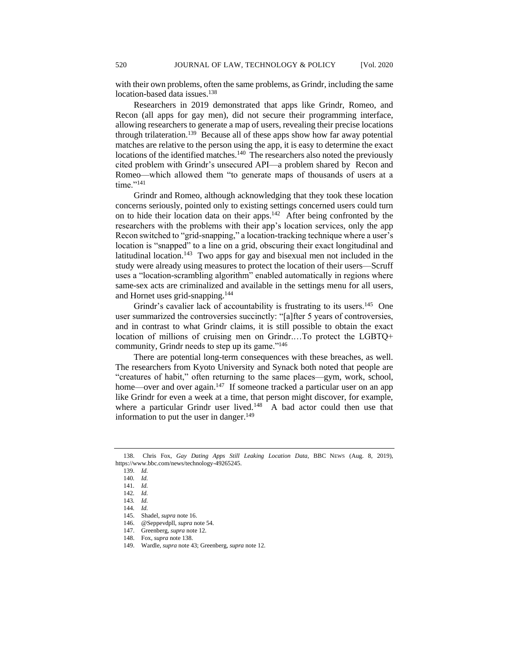with their own problems, often the same problems, as Grindr, including the same location-based data issues.<sup>138</sup>

Researchers in 2019 demonstrated that apps like Grindr, Romeo, and Recon (all apps for gay men), did not secure their programming interface, allowing researchers to generate a map of users, revealing their precise locations through trilateration.<sup>139</sup> Because all of these apps show how far away potential matches are relative to the person using the app, it is easy to determine the exact locations of the identified matches.<sup>140</sup> The researchers also noted the previously cited problem with Grindr's unsecured API—a problem shared by Recon and Romeo—which allowed them "to generate maps of thousands of users at a time."<sup>141</sup>

Grindr and Romeo, although acknowledging that they took these location concerns seriously, pointed only to existing settings concerned users could turn on to hide their location data on their apps. $142$  After being confronted by the researchers with the problems with their app's location services, only the app Recon switched to "grid-snapping," a location-tracking technique where a user's location is "snapped" to a line on a grid, obscuring their exact longitudinal and latitudinal location.<sup>143</sup> Two apps for gay and bisexual men not included in the study were already using measures to protect the location of their users—Scruff uses a "location-scrambling algorithm" enabled automatically in regions where same-sex acts are criminalized and available in the settings menu for all users, and Hornet uses grid-snapping.<sup>144</sup>

Grindr's cavalier lack of accountability is frustrating to its users.<sup>145</sup> One user summarized the controversies succinctly: "[a]fter 5 years of controversies, and in contrast to what Grindr claims, it is still possible to obtain the exact location of millions of cruising men on Grindr.…To protect the LGBTQ+ community, Grindr needs to step up its game."<sup>146</sup>

There are potential long-term consequences with these breaches, as well. The researchers from Kyoto University and Synack both noted that people are "creatures of habit," often returning to the same places—gym, work, school, home—over and over again.<sup>147</sup> If someone tracked a particular user on an app like Grindr for even a week at a time, that person might discover, for example, where a particular Grindr user lived.<sup>148</sup> A bad actor could then use that information to put the user in danger.<sup>149</sup>

<sup>138.</sup> Chris Fox, *Gay Dating Apps Still Leaking Location Data,* BBC NEWS (Aug. 8, 2019), https://www.bbc.com/news/technology-49265245.

<sup>139.</sup> *Id.*

<sup>140</sup>*. Id.*

<sup>141</sup>*. Id.*

<sup>142</sup>*. Id.* 143*. Id.*

<sup>144</sup>*. Id.*

<sup>145.</sup> Shadel, *supra* note 16. 146. @Seppevdpll, *supra* note 54.

<sup>147.</sup> Greenberg, *supra* note 12.

<sup>148.</sup> Fox, *supra* note 138.

<sup>149.</sup> Wardle, *supra* note 43; Greenberg, *supra* note 12.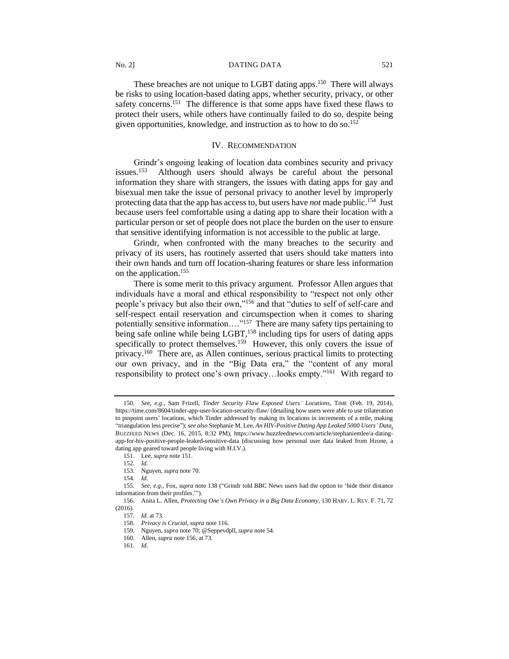These breaches are not unique to LGBT dating apps.<sup>150</sup> There will always be risks to using location-based dating apps, whether security, privacy, or other safety concerns.<sup>151</sup> The difference is that some apps have fixed these flaws to protect their users, while others have continually failed to do so, despite being given opportunities, knowledge, and instruction as to how to do so.<sup>152</sup>

## IV. RECOMMENDATION

Grindr's ongoing leaking of location data combines security and privacy issues. $153$  Although users should always be careful about the personal information they share with strangers, the issues with dating apps for gay and bisexual men take the issue of personal privacy to another level by improperly protecting data that the app has access to, but users have *not* made public.<sup>154</sup> Just because users feel comfortable using a dating app to share their location with a particular person or set of people does not place the burden on the user to ensure that sensitive identifying information is not accessible to the public at large.

Grindr, when confronted with the many breaches to the security and privacy of its users, has routinely asserted that users should take matters into their own hands and turn off location-sharing features or share less information on the application.<sup>155</sup>

There is some merit to this privacy argument. Professor Allen argues that individuals have a moral and ethical responsibility to "respect not only other people's privacy but also their own,"<sup>156</sup> and that "duties to self of self-care and self-respect entail reservation and circumspection when it comes to sharing potentially sensitive information...."<sup>157</sup> There are many safety tips pertaining to being safe online while being LGBT,<sup>158</sup> including tips for users of dating apps specifically to protect themselves.<sup>159</sup> However, this only covers the issue of privacy.<sup>160</sup> There are, as Allen continues, serious practical limits to protecting our own privacy, and in the "Big Data era," the "content of any moral responsibility to protect one's own privacy…looks empty."<sup>161</sup> With regard to

151. Lee, *supra* note 151.

<sup>150</sup>*. See, e.g.*, Sam Frizell, *Tinder Security Flaw Exposed Users' Locations*, TIME (Feb. 19, 2014), https://time.com/8604/tinder-app-user-location-security-flaw/ (detailing how users were able to use trilateration to pinpoint users' locations, which Tinder addressed by making its locations in increments of a mile, making "triangulation less precise"); *see also* Stephanie M. Lee, *An HIV-Positive Dating App Leaked 5000 Users' Data*, BUZZFEED NEWS (Dec. 16, 2015, 8:32 PM), https://www.buzzfeednews.com/article/stephaniemlee/a-datingapp-for-hiv-positive-people-leaked-sensitive-data (discussing how personal user data leaked from Hzone, a dating app geared toward people living with H.I.V.).

<sup>152</sup>*. Id.*

<sup>153.</sup> Nguyen, *supra* note 70.

<sup>154</sup>*. Id.*

<sup>155</sup>*. See, e.g.*, Fox, *supra* note 138 ("Grindr told BBC News users had the option to 'hide their distance information from their profiles.'").

<sup>156.</sup> Anita L. Allen, *Protecting One's Own Privacy in a Big Data Economy*, 130 HARV. L. REV. F. 71, 72 (2016).

<sup>157</sup>*. Id.* at 73.

<sup>158.</sup> *Privacy is Crucial*, *supra* note 116.

<sup>159.</sup> Nguyen, *supra* note 70; @Seppevdpll, *supra* note 54.

<sup>160.</sup> Allen, *supra* note 156, at 73.

<sup>161</sup>*. Id.*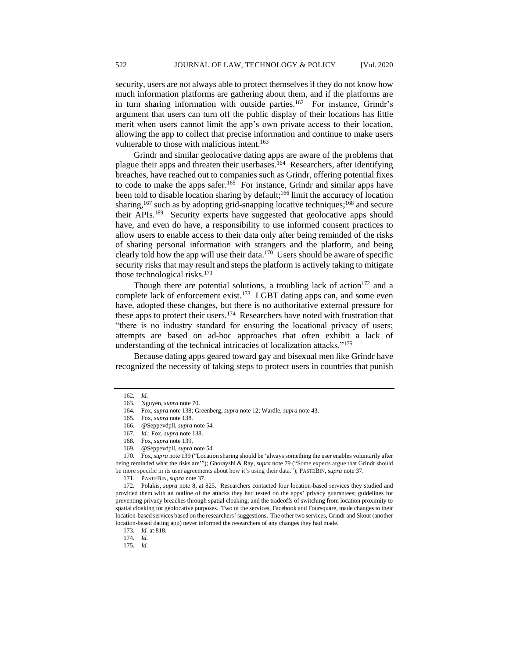security, users are not always able to protect themselves if they do not know how much information platforms are gathering about them, and if the platforms are in turn sharing information with outside parties.<sup>162</sup> For instance, Grindr's argument that users can turn off the public display of their locations has little merit when users cannot limit the app's own private access to their location, allowing the app to collect that precise information and continue to make users vulnerable to those with malicious intent.<sup>163</sup>

Grindr and similar geolocative dating apps are aware of the problems that plague their apps and threaten their userbases.<sup>164</sup> Researchers, after identifying breaches, have reached out to companies such as Grindr, offering potential fixes to code to make the apps safer.<sup>165</sup> For instance, Grindr and similar apps have been told to disable location sharing by default;<sup>166</sup> limit the accuracy of location sharing,<sup>167</sup> such as by adopting grid-snapping locative techniques;<sup>168</sup> and secure their APIs.<sup>169</sup> Security experts have suggested that geolocative apps should have, and even do have, a responsibility to use informed consent practices to allow users to enable access to their data only after being reminded of the risks of sharing personal information with strangers and the platform, and being clearly told how the app will use their data.<sup>170</sup> Users should be aware of specific security risks that may result and steps the platform is actively taking to mitigate those technological risks. $171$ 

Though there are potential solutions, a troubling lack of action<sup>172</sup> and a complete lack of enforcement exist.<sup>173</sup> LGBT dating apps can, and some even have, adopted these changes, but there is no authoritative external pressure for these apps to protect their users.<sup>174</sup> Researchers have noted with frustration that "there is no industry standard for ensuring the locational privacy of users; attempts are based on ad-hoc approaches that often exhibit a lack of understanding of the technical intricacies of localization attacks."<sup>175</sup>

Because dating apps geared toward gay and bisexual men like Grindr have recognized the necessity of taking steps to protect users in countries that punish

170. Fox, *supra* note 139 ("Location sharing should be 'always something the user enables voluntarily after being reminded what the risks are'"); Ghorayshi & Ray, *supra* note 79 ("Some experts argue that Grindr should be more specific in its user agreements about how it's using their data."); PASTEBIN, *supra* note 37.

171. PASTEBIN, *supra* note 37.

172. Polakis, *supra* note 8, at 825. Researchers contacted four location-based services they studied and provided them with an outline of the attacks they had tested on the apps' privacy guarantees; guidelines for preventing privacy breaches through spatial cloaking; and the tradeoffs of switching from location proximity to spatial cloaking for geolocative purposes. Two of the services, Facebook and Foursquare, made changes to their location-based services based on the researchers'suggestions. The other two services, Grindr and Skout (another location-based dating app) never informed the researchers of any changes they had made.

<sup>162</sup>*. Id.*

<sup>163.</sup> Nguyen, *supra* note 70.

<sup>164.</sup> Fox, *supra* note 138; Greenberg, *supra* note 12; Wardle, *supra* note 43.

<sup>165.</sup> Fox, *supra* note 138.

<sup>166.</sup> @Seppevdpll, *supra* note 54.

<sup>167.</sup> *Id.*; Fox, *supra* note 138.

<sup>168.</sup> Fox, *supra* note 139.

<sup>169.</sup> @Seppevdpll, *supra* note 54.

<sup>173</sup>*. Id.* at 818.

<sup>174</sup>*. Id.*

<sup>175</sup>*. Id.*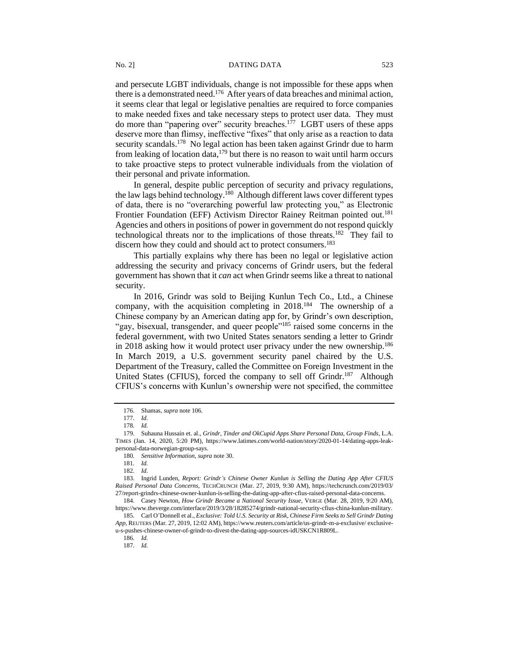and persecute LGBT individuals, change is not impossible for these apps when there is a demonstrated need.<sup>176</sup> After years of data breaches and minimal action, it seems clear that legal or legislative penalties are required to force companies to make needed fixes and take necessary steps to protect user data. They must do more than "papering over" security breaches.<sup>177</sup> LGBT users of these apps deserve more than flimsy, ineffective "fixes" that only arise as a reaction to data security scandals.<sup>178</sup> No legal action has been taken against Grindr due to harm from leaking of location data, $179$  but there is no reason to wait until harm occurs to take proactive steps to protect vulnerable individuals from the violation of their personal and private information.

In general, despite public perception of security and privacy regulations, the law lags behind technology.<sup>180</sup> Although different laws cover different types of data, there is no "overarching powerful law protecting you," as Electronic Frontier Foundation (EFF) Activism Director Rainey Reitman pointed out.<sup>181</sup> Agencies and others in positions of power in government do not respond quickly technological threats nor to the implications of those threats.<sup>182</sup> They fail to discern how they could and should act to protect consumers.<sup>183</sup>

This partially explains why there has been no legal or legislative action addressing the security and privacy concerns of Grindr users, but the federal government has shown that it *can* act when Grindr seems like a threat to national security.

In 2016, Grindr was sold to Beijing Kunlun Tech Co., Ltd., a Chinese company, with the acquisition completing in 2018.<sup>184</sup> The ownership of a Chinese company by an American dating app for, by Grindr's own description, "gay, bisexual, transgender, and queer people"<sup>185</sup> raised some concerns in the federal government, with two United States senators sending a letter to Grindr in 2018 asking how it would protect user privacy under the new ownership.<sup>186</sup> In March 2019, a U.S. government security panel chaired by the U.S. Department of the Treasury, called the Committee on Foreign Investment in the United States (CFIUS), forced the company to sell off Grindr.<sup>187</sup> Although CFIUS's concerns with Kunlun's ownership were not specified, the committee

<sup>176.</sup> Shamas, *supra* note 106.

<sup>177</sup>*. Id.*

<sup>178</sup>*. Id.*

<sup>179.</sup> Suhauna Hussain et. al., *Grindr, Tinder and OkCupid Apps Share Personal Data, Group Finds*, L.A. TIMES (Jan. 14, 2020, 5:20 PM), https://www.latimes.com/world-nation/story/2020-01-14/dating-apps-leakpersonal-data-norwegian-group-says.

<sup>180</sup>*. Sensitive Information*, *supra* note 30.

<sup>181</sup>*. Id.*

<sup>182</sup>*. Id*.

<sup>183.</sup> Ingrid Lunden, *Report: Grindr's Chinese Owner Kunlun is Selling the Dating App After CFIUS Raised Personal Data Concerns,* TECHCRUNCH (Mar. 27, 2019, 9:30 AM), https://techcrunch.com/2019/03/ 27/report-grindrs-chinese-owner-kunlun-is-selling-the-dating-app-after-cfius-raised-personal-data-concerns.

<sup>184.</sup> Casey Newton, *How Grindr Became a National Security Issue*, VERGE (Mar. 28, 2019, 9:20 AM), https://www.theverge.com/interface/2019/3/28/18285274/grindr-national-security-cfius-china-kunlun-military.

<sup>185.</sup> Carl O'Donnell et al., *Exclusive: Told U.S. Security at Risk, Chinese Firm Seeks to Sell Grindr Dating App,* REUTERS (Mar. 27, 2019, 12:02 AM), https://www.reuters.com/article/us-grindr-m-a-exclusive/ exclusiveu-s-pushes-chinese-owner-of-grindr-to-divest-the-dating-app-sources-idUSKCN1R809L.

<sup>186</sup>*. Id.*

<sup>187</sup>*. Id.*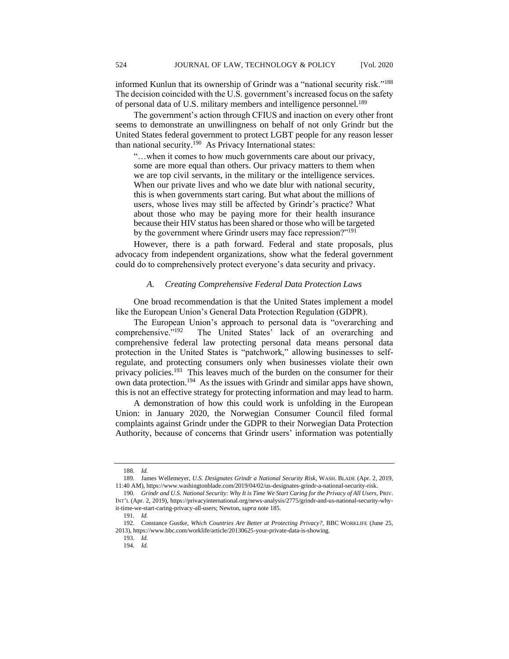informed Kunlun that its ownership of Grindr was a "national security risk."<sup>188</sup> The decision coincided with the U.S. government's increased focus on the safety of personal data of U.S. military members and intelligence personnel.<sup>189</sup>

The government's action through CFIUS and inaction on every other front seems to demonstrate an unwillingness on behalf of not only Grindr but the United States federal government to protect LGBT people for any reason lesser than national security.<sup>190</sup> As Privacy International states:

"…when it comes to how much governments care about our privacy, some are more equal than others. Our privacy matters to them when we are top civil servants, in the military or the intelligence services. When our private lives and who we date blur with national security, this is when governments start caring. But what about the millions of users, whose lives may still be affected by Grindr's practice? What about those who may be paying more for their health insurance because their HIV status has been shared or those who will be targeted by the government where Grindr users may face repression?"<sup>191</sup>

However, there is a path forward. Federal and state proposals, plus advocacy from independent organizations, show what the federal government could do to comprehensively protect everyone's data security and privacy.

# *A. Creating Comprehensive Federal Data Protection Laws*

One broad recommendation is that the United States implement a model like the European Union's General Data Protection Regulation (GDPR).

The European Union's approach to personal data is "overarching and comprehensive."<sup>192</sup> The United States' lack of an overarching and The United States' lack of an overarching and comprehensive federal law protecting personal data means personal data protection in the United States is "patchwork," allowing businesses to selfregulate, and protecting consumers only when businesses violate their own privacy policies.<sup>193</sup> This leaves much of the burden on the consumer for their own data protection.<sup>194</sup> As the issues with Grindr and similar apps have shown, this is not an effective strategy for protecting information and may lead to harm.

A demonstration of how this could work is unfolding in the European Union: in January 2020, the Norwegian Consumer Council filed formal complaints against Grindr under the GDPR to their Norwegian Data Protection Authority, because of concerns that Grindr users' information was potentially

<sup>188</sup>*. Id.*

<sup>189.</sup> James Wellemeyer, *U.S. Designates Grindr a National Security Risk*, WASH. BLADE (Apr. 2, 2019, 11:40 AM), https://www.washingtonblade.com/2019/04/02/us-designates-grindr-a-national-security-risk.

<sup>190</sup>*. Grindr and U.S. National Security: Why It is Time We Start Caring for the Privacy of All Users,* PRIV. INT'L (Apr. 2, 2019), https://privacyinternational.org/news-analysis/2775/grindr-and-us-national-security-whyit-time-we-start-caring-privacy-all-users; Newton, *supra* note 185.

<sup>191</sup>*. Id.*

<sup>192.</sup> Constance Gustke, *Which Countries Are Better at Protecting Privacy?*, BBC WORKLIFE (June 25, 2013), https://www.bbc.com/worklife/article/20130625-your-private-data-is-showing.

<sup>193</sup>*. Id.*

<sup>194</sup>*. Id.*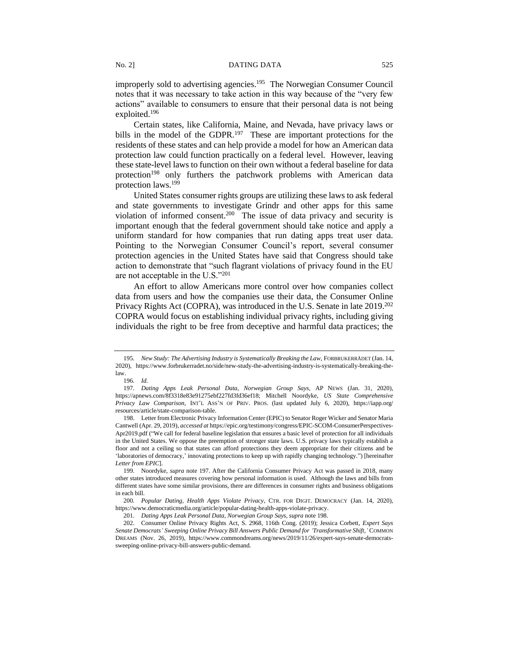improperly sold to advertising agencies.<sup>195</sup> The Norwegian Consumer Council notes that it was necessary to take action in this way because of the "very few actions" available to consumers to ensure that their personal data is not being exploited.<sup>196</sup>

Certain states, like California, Maine, and Nevada, have privacy laws or bills in the model of the GDPR.<sup>197</sup> These are important protections for the residents of these states and can help provide a model for how an American data protection law could function practically on a federal level. However, leaving these state-level laws to function on their own without a federal baseline for data protection<sup>198</sup> only furthers the patchwork problems with American data protection laws. $199$ 

United States consumer rights groups are utilizing these laws to ask federal and state governments to investigate Grindr and other apps for this same violation of informed consent.<sup>200</sup> The issue of data privacy and security is important enough that the federal government should take notice and apply a uniform standard for how companies that run dating apps treat user data. Pointing to the Norwegian Consumer Council's report, several consumer protection agencies in the United States have said that Congress should take action to demonstrate that "such flagrant violations of privacy found in the EU are not acceptable in the U.S."<sup>201</sup>

An effort to allow Americans more control over how companies collect data from users and how the companies use their data, the Consumer Online Privacy Rights Act (COPRA), was introduced in the U.S. Senate in late 2019.<sup>202</sup> COPRA would focus on establishing individual privacy rights, including giving individuals the right to be free from deceptive and harmful data practices; the

<sup>195.</sup> New Study: The Advertising Industry is Systematically Breaking the Law, FORBRUKERRÅDET (Jan. 14, 2020), https://www.forbrukerradet.no/side/new-study-the-advertising-industry-is-systematically-breaking-thelaw.

<sup>196</sup>*. Id.*

<sup>197</sup>*. Dating Apps Leak Personal Data, Norwegian Group Says*, AP NEWS (Jan. 31, 2020), https://apnews.com/8f3318e83e91275ebf227fd3fd36ef18; Mitchell Noordyke, *US State Comprehensive Privacy Law Comparison,* INT'L ASS'N OF PRIV. PROS. (last updated July 6, 2020), https://iapp.org/ resources/article/state-comparison-table.

<sup>198.</sup> Letter from Electronic Privacy Information Center (EPIC) to Senator Roger Wicker and Senator Maria Cantwell (Apr. 29, 2019), *accessed at* https://epic.org/testimony/congress/EPIC-SCOM-ConsumerPerspectives-Apr2019.pdf ("We call for federal baseline legislation that ensures a basic level of protection for all individuals in the United States. We oppose the preemption of stronger state laws. U.S. privacy laws typically establish a floor and not a ceiling so that states can afford protections they deem appropriate for their citizens and be 'laboratories of democracy,' innovating protections to keep up with rapidly changing technology.") [hereinafter *Letter from EPIC*].

<sup>199.</sup> Noordyke, *supra* note 197. After the California Consumer Privacy Act was passed in 2018, many other states introduced measures covering how personal information is used. Although the laws and bills from different states have some similar provisions, there are differences in consumer rights and business obligations in each bill.

<sup>200</sup>*. Popular Dating, Health Apps Violate Privacy*, CTR. FOR DIGIT. DEMOCRACY (Jan. 14, 2020), https://www.democraticmedia.org/article/popular-dating-health-apps-violate-privacy.

<sup>201.</sup> *Dating Apps Leak Personal Data, Norwegian Group Says*, *supra* note 198.

<sup>202.</sup> Consumer Online Privacy Rights Act, S. 2968, 116th Cong. (2019); Jessica Corbett, *Expert Says Senate Democrats' Sweeping Online Privacy Bill Answers Public Demand for 'Transformative Shift,'* COMMON DREAMS (Nov. 26, 2019), https://www.commondreams.org/news/2019/11/26/expert-says-senate-democratssweeping-online-privacy-bill-answers-public-demand.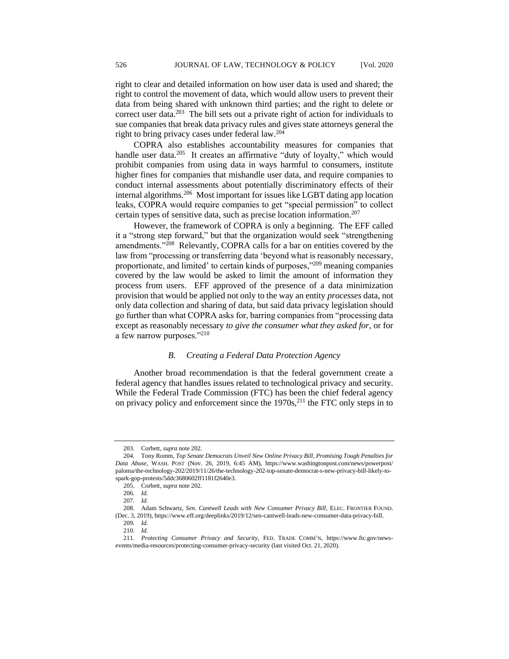right to clear and detailed information on how user data is used and shared; the right to control the movement of data, which would allow users to prevent their data from being shared with unknown third parties; and the right to delete or correct user data.<sup>203</sup> The bill sets out a private right of action for individuals to sue companies that break data privacy rules and gives state attorneys general the right to bring privacy cases under federal law.<sup>204</sup>

COPRA also establishes accountability measures for companies that handle user data.<sup>205</sup> It creates an affirmative "duty of loyalty," which would prohibit companies from using data in ways harmful to consumers, institute higher fines for companies that mishandle user data, and require companies to conduct internal assessments about potentially discriminatory effects of their internal algorithms.<sup>206</sup> Most important for issues like LGBT dating app location leaks, COPRA would require companies to get "special permission" to collect certain types of sensitive data, such as precise location information.<sup>207</sup>

However, the framework of COPRA is only a beginning. The EFF called it a "strong step forward," but that the organization would seek "strengthening amendments."<sup>208</sup> Relevantly, COPRA calls for a bar on entities covered by the law from "processing or transferring data 'beyond what is reasonably necessary, proportionate, and limited' to certain kinds of purposes,"<sup>209</sup> meaning companies covered by the law would be asked to limit the amount of information they process from users. EFF approved of the presence of a data minimization provision that would be applied not only to the way an entity *processes* data, not only data collection and sharing of data, but said data privacy legislation should go further than what COPRA asks for, barring companies from "processing data except as reasonably necessary *to give the consumer what they asked for,* or for a few narrow purposes."<sup>210</sup>

## *B. Creating a Federal Data Protection Agency*

Another broad recommendation is that the federal government create a federal agency that handles issues related to technological privacy and security. While the Federal Trade Commission (FTC) has been the chief federal agency on privacy policy and enforcement since the 1970s,<sup>211</sup> the FTC only steps in to

<sup>203.</sup> Corbett, *supra* note 202.

<sup>204.</sup> Tony Romm, *Top Senate Democrats Unveil New Online Privacy Bill, Promising Tough Penalties for Data Abuse*, WASH. POST (Nov. 26, 2019, 6:45 AM), https://www.washingtonpost.com/news/powerpost/ paloma/the-technology-202/2019/11/26/the-technology-202-top-senate-democrat-s-new-privacy-bill-likely-tospark-gop-protests/5ddc3680602ff1181f2640e3.

<sup>205.</sup> Corbett, *supra* note 202.

<sup>206</sup>*. Id.*

<sup>207</sup>*. Id.*

<sup>208.</sup> Adam Schwartz, *Sen. Cantwell Leads with New Consumer Privacy Bill,* ELEC. FRONTIER FOUND. (Dec. 3, 2019), https://www.eff.org/deeplinks/2019/12/sen-cantwell-leads-new-consumer-data-privacy-bill.

<sup>209</sup>*. Id.*

<sup>210</sup>*. Id.*

<sup>211</sup>*. Protecting Consumer Privacy and Security*, FED. TRADE COMM'N, https://www.ftc.gov/newsevents/media-resources/protecting-consumer-privacy-security (last visited Oct. 21, 2020).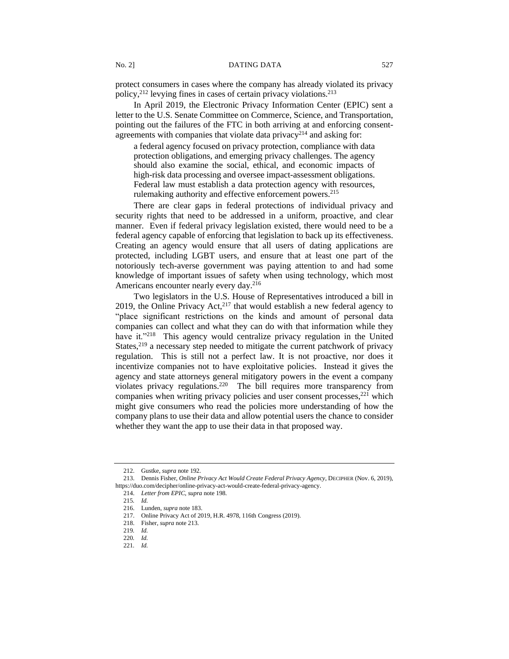protect consumers in cases where the company has already violated its privacy policy, $2^{12}$  levying fines in cases of certain privacy violations. $2^{13}$ 

In April 2019, the Electronic Privacy Information Center (EPIC) sent a letter to the U.S. Senate Committee on Commerce, Science, and Transportation, pointing out the failures of the FTC in both arriving at and enforcing consentagreements with companies that violate data privacy<sup>214</sup> and asking for:

a federal agency focused on privacy protection, compliance with data protection obligations, and emerging privacy challenges. The agency should also examine the social, ethical, and economic impacts of high-risk data processing and oversee impact-assessment obligations. Federal law must establish a data protection agency with resources, rulemaking authority and effective enforcement powers.<sup>215</sup>

There are clear gaps in federal protections of individual privacy and security rights that need to be addressed in a uniform, proactive, and clear manner. Even if federal privacy legislation existed, there would need to be a federal agency capable of enforcing that legislation to back up its effectiveness. Creating an agency would ensure that all users of dating applications are protected, including LGBT users, and ensure that at least one part of the notoriously tech-averse government was paying attention to and had some knowledge of important issues of safety when using technology, which most Americans encounter nearly every day.<sup>216</sup>

Two legislators in the U.S. House of Representatives introduced a bill in 2019, the Online Privacy Act, $2^{17}$  that would establish a new federal agency to "place significant restrictions on the kinds and amount of personal data companies can collect and what they can do with that information while they have it."<sup>218</sup> This agency would centralize privacy regulation in the United States, $2^{19}$  a necessary step needed to mitigate the current patchwork of privacy regulation. This is still not a perfect law. It is not proactive, nor does it incentivize companies not to have exploitative policies. Instead it gives the agency and state attorneys general mitigatory powers in the event a company violates privacy regulations.<sup>220</sup> The bill requires more transparency from companies when writing privacy policies and user consent processes,<sup>221</sup> which might give consumers who read the policies more understanding of how the company plans to use their data and allow potential users the chance to consider whether they want the app to use their data in that proposed way.

<sup>212.</sup> Gustke, *supra* note 192.

<sup>213.</sup> Dennis Fisher, *Online Privacy Act Would Create Federal Privacy Agency*, DECIPHER (Nov. 6, 2019), https://duo.com/decipher/online-privacy-act-would-create-federal-privacy-agency.

<sup>214.</sup> *Letter from EPIC*, *supra* note 198.

<sup>215</sup>*. Id.*

<sup>216.</sup> Lunden, *supra* note 183.

<sup>217.</sup> Online Privacy Act of 2019, H.R. 4978, 116th Congress (2019).

<sup>218.</sup> Fisher, *supra* note 213.

<sup>219</sup>*. Id.*

<sup>220</sup>*. Id.*

<sup>221</sup>*. Id.*